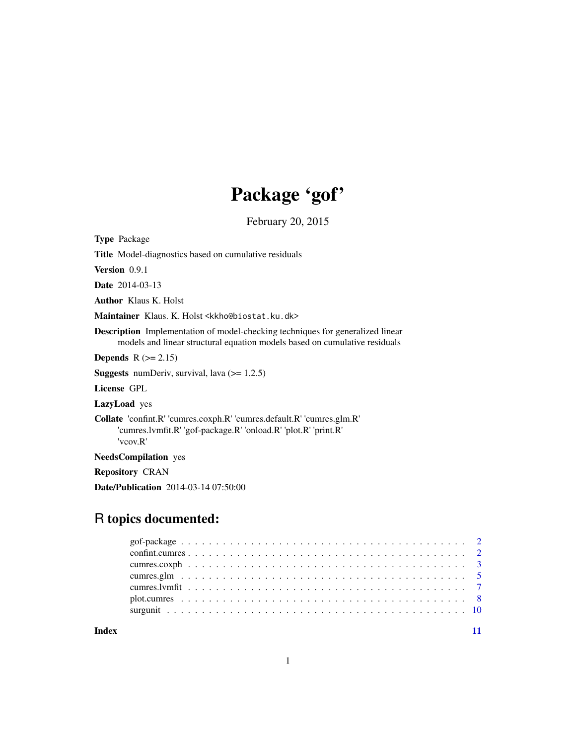## Package 'gof'

February 20, 2015

<span id="page-0-0"></span>Type Package

Title Model-diagnostics based on cumulative residuals

Version 0.9.1

Date 2014-03-13

Author Klaus K. Holst

Maintainer Klaus. K. Holst <kkho@biostat.ku.dk>

Description Implementation of model-checking techniques for generalized linear models and linear structural equation models based on cumulative residuals

Depends  $R$  ( $>= 2.15$ )

**Suggests** numDeriv, survival, lava  $(>= 1.2.5)$ 

License GPL

LazyLoad yes

Collate 'confint.R' 'cumres.coxph.R' 'cumres.default.R' 'cumres.glm.R' 'cumres.lvmfit.R' 'gof-package.R' 'onload.R' 'plot.R' 'print.R' 'vcov.R'

NeedsCompilation yes

Repository CRAN

Date/Publication 2014-03-14 07:50:00

## R topics documented:

**Index** [11](#page-10-0)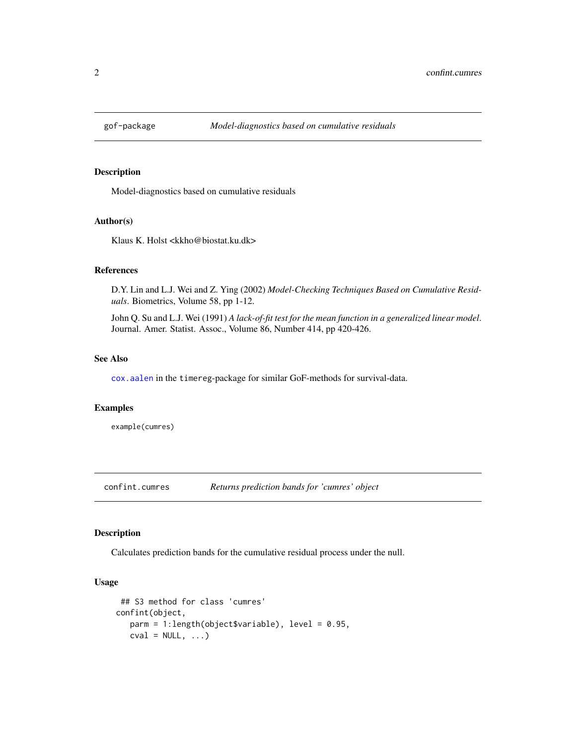<span id="page-1-0"></span>

## Description

Model-diagnostics based on cumulative residuals

#### Author(s)

Klaus K. Holst <kkho@biostat.ku.dk>

#### References

D.Y. Lin and L.J. Wei and Z. Ying (2002) *Model-Checking Techniques Based on Cumulative Residuals*. Biometrics, Volume 58, pp 1-12.

John Q. Su and L.J. Wei (1991) *A lack-of-fit test for the mean function in a generalized linear model*. Journal. Amer. Statist. Assoc., Volume 86, Number 414, pp 420-426.

#### See Also

[cox.aalen](#page-0-0) in the timereg-package for similar GoF-methods for survival-data.

## Examples

example(cumres)

confint.cumres *Returns prediction bands for 'cumres' object*

## Description

Calculates prediction bands for the cumulative residual process under the null.

#### Usage

```
## S3 method for class 'cumres'
confint(object,
  parm = 1:length(object$variable), level = 0.95,
   cval = NULL, ...
```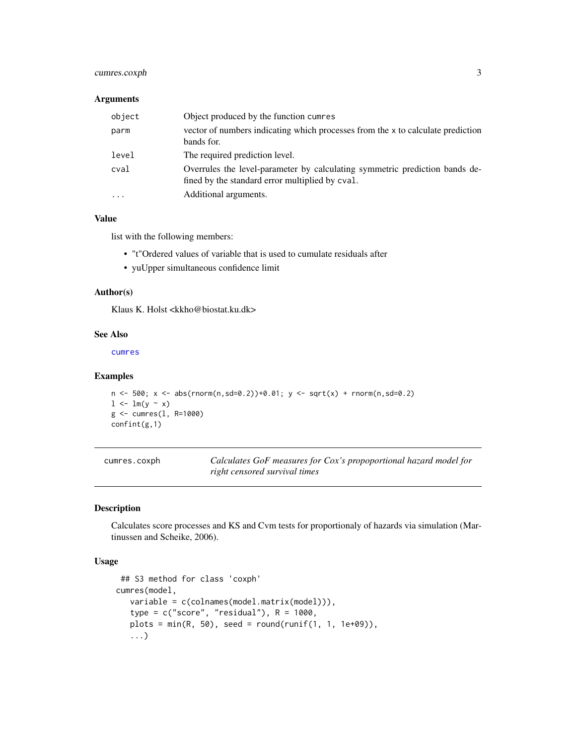## <span id="page-2-0"></span>cumres.coxph 3

## Arguments

| object   | Object produced by the function cumres                                                                                         |
|----------|--------------------------------------------------------------------------------------------------------------------------------|
| parm     | vector of numbers indicating which processes from the x to calculate prediction<br>bands for.                                  |
| level    | The required prediction level.                                                                                                 |
| cval     | Overrules the level-parameter by calculating symmetric prediction bands de-<br>fined by the standard error multiplied by cval. |
| $\cdots$ | Additional arguments.                                                                                                          |

## Value

list with the following members:

- "t"Ordered values of variable that is used to cumulate residuals after
- yuUpper simultaneous confidence limit

#### Author(s)

Klaus K. Holst <kkho@biostat.ku.dk>

## See Also

[cumres](#page-4-1)

#### Examples

```
n \le -500; x \le - abs(rnorm(n,sd=0.2))+0.01; y \le - sqrt(x) + rnorm(n,sd=0.2)
1 \leftarrow \text{lm}(y \sim x)g <- cumres(l, R=1000)
confint(g,1)
```

| cumres.coxph | Calculates GoF measures for Cox's propoportional hazard model for |
|--------------|-------------------------------------------------------------------|
|              | right censored survival times                                     |

## Description

Calculates score processes and KS and Cvm tests for proportionaly of hazards via simulation (Martinussen and Scheike, 2006).

#### Usage

```
## S3 method for class 'coxph'
cumres(model,
  variable = c(colnames(model.matrix(model))),
   type = c("score", "residual"), R = 1000,plots = min(R, 50), seed = round(runif(1, 1, 1e+09)),
   ...)
```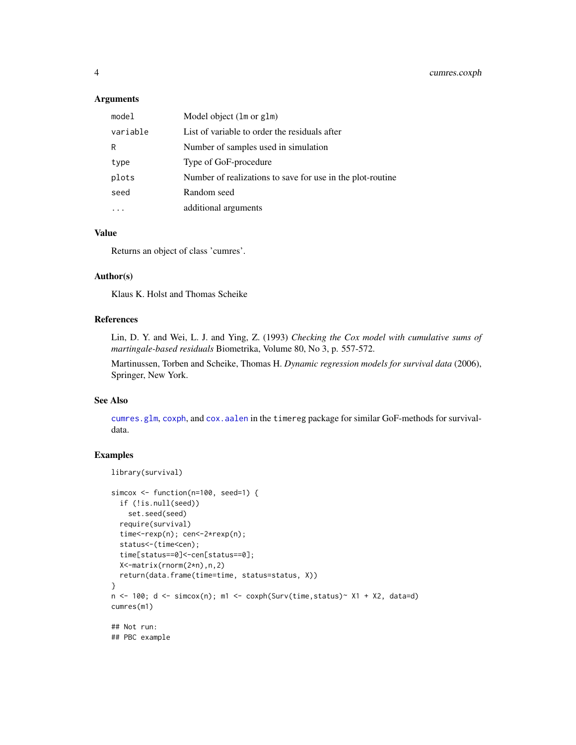#### <span id="page-3-0"></span>Arguments

| model    | Model object (1m or g1m)                                   |
|----------|------------------------------------------------------------|
| variable | List of variable to order the residuals after              |
| R        | Number of samples used in simulation                       |
| type     | Type of GoF-procedure                                      |
| plots    | Number of realizations to save for use in the plot-routine |
| seed     | Random seed                                                |
|          | additional arguments                                       |
|          |                                                            |

## Value

Returns an object of class 'cumres'.

#### Author(s)

Klaus K. Holst and Thomas Scheike

#### References

Lin, D. Y. and Wei, L. J. and Ying, Z. (1993) *Checking the Cox model with cumulative sums of martingale-based residuals* Biometrika, Volume 80, No 3, p. 557-572.

Martinussen, Torben and Scheike, Thomas H. *Dynamic regression models for survival data* (2006), Springer, New York.

## See Also

[cumres.glm](#page-4-2), [coxph](#page-0-0), and [cox.aalen](#page-0-0) in the timereg package for similar GoF-methods for survivaldata.

## Examples

```
library(survival)
```

```
simcox <- function(n=100, seed=1) {
 if (!is.null(seed))
    set.seed(seed)
  require(survival)
  time<-rexp(n); cen<-2*rexp(n);
  status<-(time<cen);
  time[status==0]<-cen[status==0];
  X<-matrix(rnorm(2*n),n,2)
  return(data.frame(time=time, status=status, X))
}
n \le -100; d \le -\sin(\cos(n)); m1 \le -\cosh(\text{Surv}(\text{time}, \text{status}) \sim \text{X1 + X2}, data=d)
cumres(m1)
## Not run:
## PBC example
```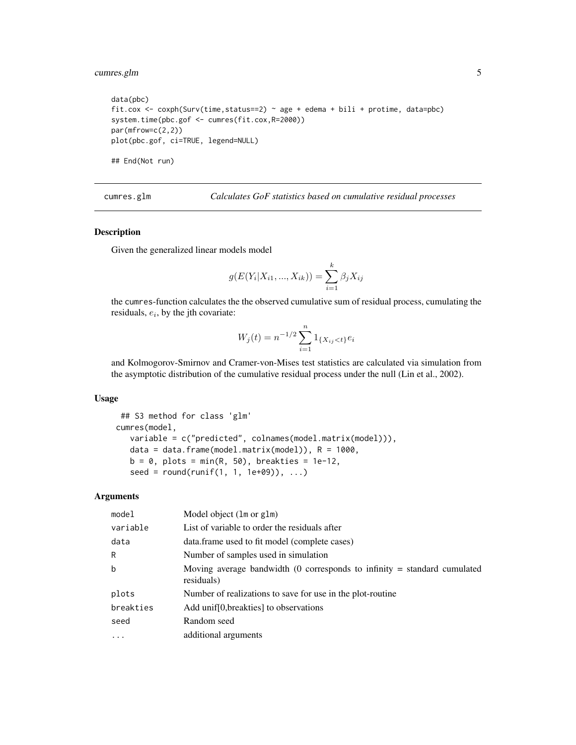## <span id="page-4-0"></span>cumres.glm 5

```
data(pbc)
fit.cox <- coxph(Surv(time,status==2) ~ age + edema + bili + protime, data=pbc)
system.time(pbc.gof <- cumres(fit.cox,R=2000))
par(mfrow=c(2,2))
plot(pbc.gof, ci=TRUE, legend=NULL)
## End(Not run)
```
<span id="page-4-2"></span>cumres.glm *Calculates GoF statistics based on cumulative residual processes*

## <span id="page-4-1"></span>Description

Given the generalized linear models model

$$
g(E(Y_i|X_{i1},...,X_{ik})) = \sum_{i=1}^k \beta_j X_{ij}
$$

the cumres-function calculates the the observed cumulative sum of residual process, cumulating the residuals,  $e_i$ , by the jth covariate:

$$
W_j(t) = n^{-1/2} \sum_{i=1}^n 1_{\{X_{ij} < t\}} e_i
$$

and Kolmogorov-Smirnov and Cramer-von-Mises test statistics are calculated via simulation from the asymptotic distribution of the cumulative residual process under the null (Lin et al., 2002).

#### Usage

```
## S3 method for class 'glm'
cumres(model,
   variable = c("predicted", colnames(model.matrix(model))),
   data = data.frame(model.matrix(model)), R = 1000,
   b = 0, plots = min(R, 50), breakties = 1e-12,
   seed = round(runif(1, 1, 1e+09)), ...
```
## Arguments

| model      | Model object (1m or g1m)                                                                 |
|------------|------------------------------------------------------------------------------------------|
| variable   | List of variable to order the residuals after                                            |
| data       | data.frame used to fit model (complete cases)                                            |
| R          | Number of samples used in simulation                                                     |
| b          | Moving average bandwidth (0 corresponds to infinity $=$ standard cumulated<br>residuals) |
| plots      | Number of realizations to save for use in the plot-routine                               |
| breakties  | Add unif [0, breakties] to observations                                                  |
| seed       | Random seed                                                                              |
| $\ddots$ . | additional arguments                                                                     |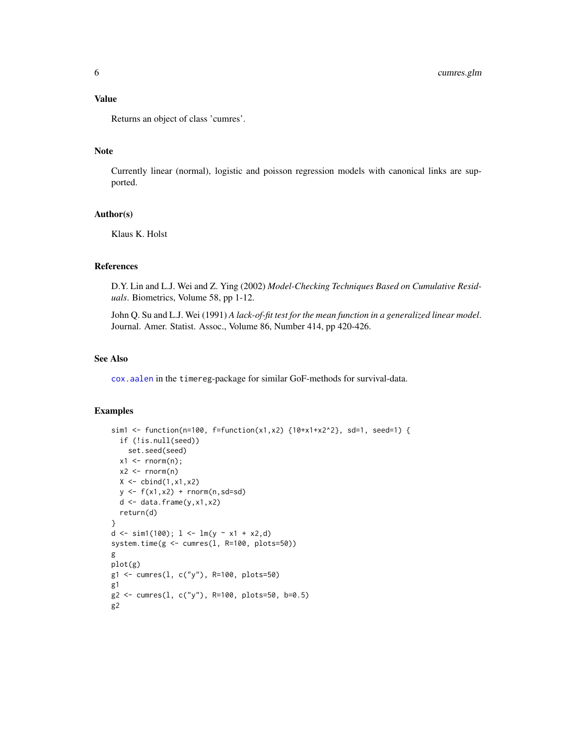#### <span id="page-5-0"></span>Value

Returns an object of class 'cumres'.

#### Note

Currently linear (normal), logistic and poisson regression models with canonical links are supported.

## Author(s)

Klaus K. Holst

## References

D.Y. Lin and L.J. Wei and Z. Ying (2002) *Model-Checking Techniques Based on Cumulative Residuals*. Biometrics, Volume 58, pp 1-12.

John Q. Su and L.J. Wei (1991) *A lack-of-fit test for the mean function in a generalized linear model*. Journal. Amer. Statist. Assoc., Volume 86, Number 414, pp 420-426.

#### See Also

[cox.aalen](#page-0-0) in the timereg-package for similar GoF-methods for survival-data.

## Examples

```
sim1 <- function(n=100, f=function(x1,x2) {10+x1+x2^2}, sd=1, seed=1) {
  if (!is.null(seed))
    set.seed(seed)
  x1 \leftarrow \text{norm}(n);x2 \le rnorm(n)
  X \leftarrow \text{cbind}(1, x1, x2)y \leftarrow f(x1, x2) + \text{norm}(n, sd=sd)d \leftarrow data-frame(y, x1, x2)return(d)
}
d <- sim1(100); 1 \leq \ln(y \approx x1 + x2, d)system.time(g <- cumres(l, R=100, plots=50))
g
plot(g)
g1 <- cumres(l, c("y"), R=100, plots=50)
g1
g2 <- cumres(l, c("y"), R=100, plots=50, b=0.5)
g2
```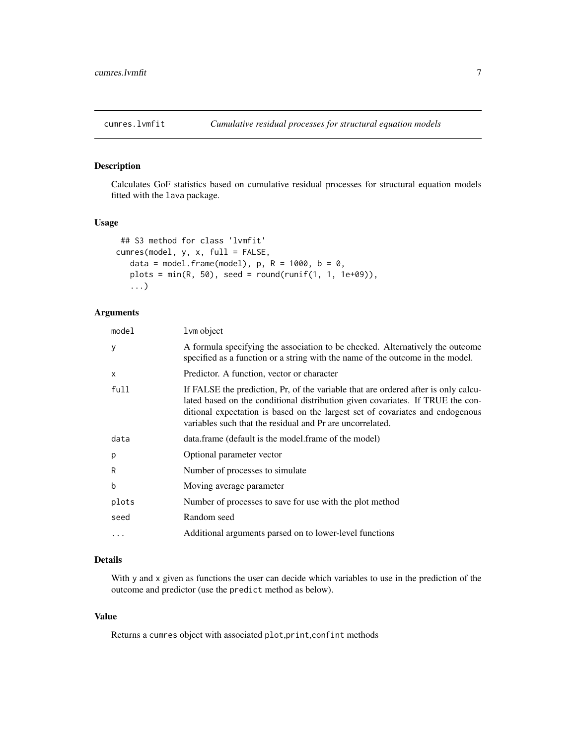<span id="page-6-0"></span>

## Description

Calculates GoF statistics based on cumulative residual processes for structural equation models fitted with the lava package.

## Usage

```
## S3 method for class 'lvmfit'
cumres(model, y, x, full = FALSE,
   data = model.frame(model), p, R = 1000, b = 0,
   plots = min(R, 50), seed = round(runif(1, 1, 1e+09)),
   ...)
```
#### Arguments

| model     | l vm object                                                                                                                                                                                                                                                                                                        |
|-----------|--------------------------------------------------------------------------------------------------------------------------------------------------------------------------------------------------------------------------------------------------------------------------------------------------------------------|
| У         | A formula specifying the association to be checked. Alternatively the outcome<br>specified as a function or a string with the name of the outcome in the model.                                                                                                                                                    |
| X         | Predictor. A function, vector or character                                                                                                                                                                                                                                                                         |
| full      | If FALSE the prediction, Pr, of the variable that are ordered after is only calcu-<br>lated based on the conditional distribution given covariates. If TRUE the con-<br>ditional expectation is based on the largest set of covariates and endogenous<br>variables such that the residual and Pr are uncorrelated. |
| data      | data.frame (default is the model.frame of the model)                                                                                                                                                                                                                                                               |
| p         | Optional parameter vector                                                                                                                                                                                                                                                                                          |
| R         | Number of processes to simulate                                                                                                                                                                                                                                                                                    |
| b         | Moving average parameter                                                                                                                                                                                                                                                                                           |
| plots     | Number of processes to save for use with the plot method                                                                                                                                                                                                                                                           |
| seed      | Random seed                                                                                                                                                                                                                                                                                                        |
| $\ddotsc$ | Additional arguments parsed on to lower-level functions                                                                                                                                                                                                                                                            |
|           |                                                                                                                                                                                                                                                                                                                    |

## Details

With y and x given as functions the user can decide which variables to use in the prediction of the outcome and predictor (use the predict method as below).

## Value

Returns a cumres object with associated plot,print,confint methods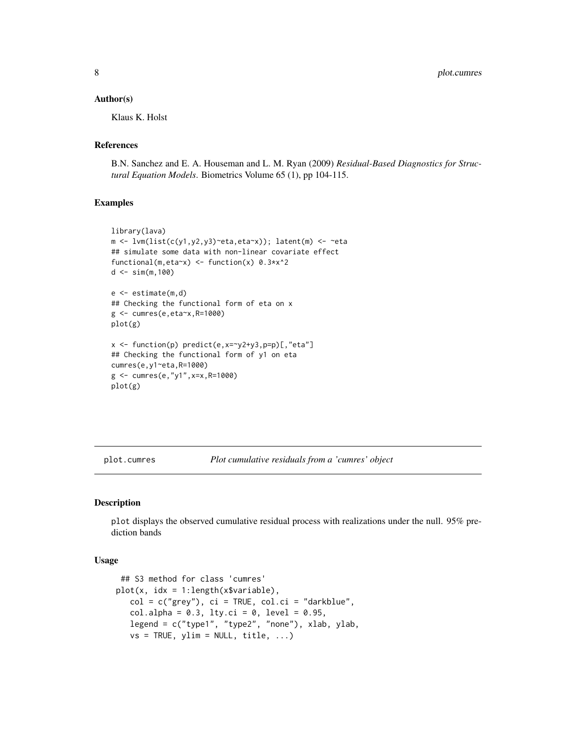<span id="page-7-0"></span>8 plot.cumres

#### Author(s)

Klaus K. Holst

## References

B.N. Sanchez and E. A. Houseman and L. M. Ryan (2009) *Residual-Based Diagnostics for Structural Equation Models*. Biometrics Volume 65 (1), pp 104-115.

#### Examples

```
library(lava)
m <- lvm(list(c(y1,y2,y3)~eta,eta~x)); latent(m) <- ~eta
## simulate some data with non-linear covariate effect
functional(m,eta~x) <- function(x) 0.3*x^2
d \leq \sin(m, 100)e <- estimate(m,d)
## Checking the functional form of eta on x
g <- cumres(e,eta~x,R=1000)
plot(g)
x \leftarrow function(p) predict(e, x=~y2+y3, p=p)[, "eta"]
## Checking the functional form of y1 on eta
cumres(e,y1~eta,R=1000)
g <- cumres(e,"y1",x=x,R=1000)
plot(g)
```
plot.cumres *Plot cumulative residuals from a 'cumres' object*

## Description

plot displays the observed cumulative residual process with realizations under the null. 95% prediction bands

#### Usage

```
## S3 method for class 'cumres'
plot(x, idx = 1:length(x$variable),col = c("grey"), ci = TRUE, col.ci = "darkblue",col.alpha = 0.3, lty.ci = 0, level = 0.95,
   legend = c("type1", "type2", "none"), xlab, ylab,
   vs = TRUE, ylim = NULL, title, ...)
```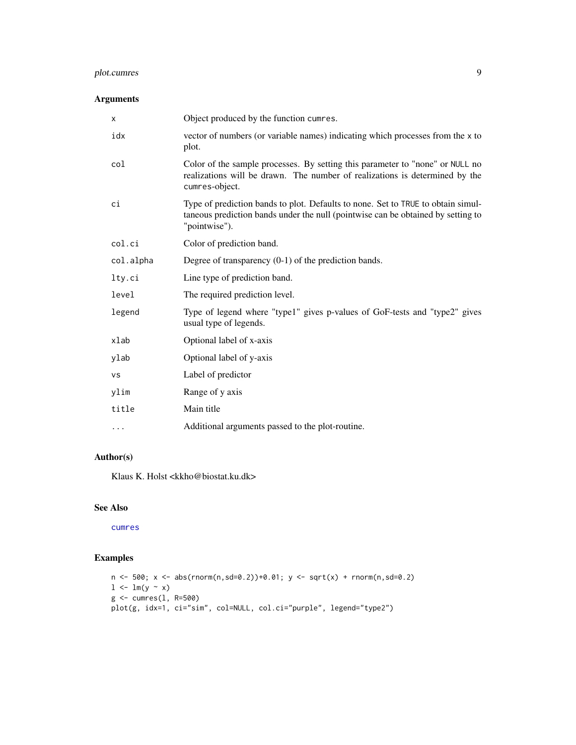## <span id="page-8-0"></span>plot.cumres 9

## Arguments

| $\times$  | Object produced by the function cumres.                                                                                                                                               |
|-----------|---------------------------------------------------------------------------------------------------------------------------------------------------------------------------------------|
| idx       | vector of numbers (or variable names) indicating which processes from the x to<br>plot.                                                                                               |
| col       | Color of the sample processes. By setting this parameter to "none" or NULL no<br>realizations will be drawn. The number of realizations is determined by the<br>cumres-object.        |
| ci        | Type of prediction bands to plot. Defaults to none. Set to TRUE to obtain simul-<br>taneous prediction bands under the null (pointwise can be obtained by setting to<br>"pointwise"). |
| col.ci    | Color of prediction band.                                                                                                                                                             |
| col.alpha | Degree of transparency $(0-1)$ of the prediction bands.                                                                                                                               |
| lty.ci    | Line type of prediction band.                                                                                                                                                         |
| level     | The required prediction level.                                                                                                                                                        |
| legend    | Type of legend where "type1" gives p-values of GoF-tests and "type2" gives<br>usual type of legends.                                                                                  |
| xlab      | Optional label of x-axis                                                                                                                                                              |
| ylab      | Optional label of y-axis                                                                                                                                                              |
| <b>VS</b> | Label of predictor                                                                                                                                                                    |
| ylim      | Range of y axis                                                                                                                                                                       |
| title     | Main title                                                                                                                                                                            |
| .         | Additional arguments passed to the plot-routine.                                                                                                                                      |

## Author(s)

Klaus K. Holst <kkho@biostat.ku.dk>

## See Also

[cumres](#page-4-1)

## Examples

```
n \le -500; x \le - abs(rnorm(n,sd=0.2))+0.01; y \le - sqrt(x) + rnorm(n,sd=0.2)
l \leftarrow lm(y \sim x)g <- cumres(l, R=500)
plot(g, idx=1, ci="sim", col=NULL, col.ci="purple", legend="type2")
```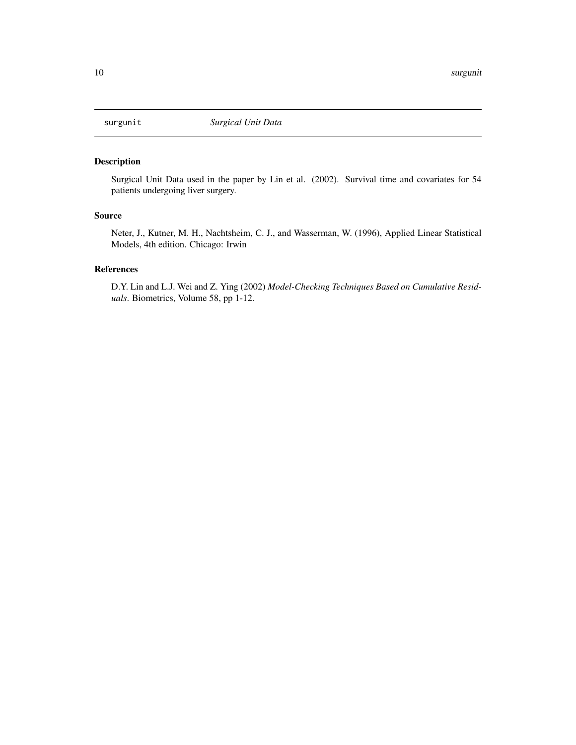<span id="page-9-0"></span>

## Description

Surgical Unit Data used in the paper by Lin et al. (2002). Survival time and covariates for 54 patients undergoing liver surgery.

#### Source

Neter, J., Kutner, M. H., Nachtsheim, C. J., and Wasserman, W. (1996), Applied Linear Statistical Models, 4th edition. Chicago: Irwin

## References

D.Y. Lin and L.J. Wei and Z. Ying (2002) *Model-Checking Techniques Based on Cumulative Residuals*. Biometrics, Volume 58, pp 1-12.